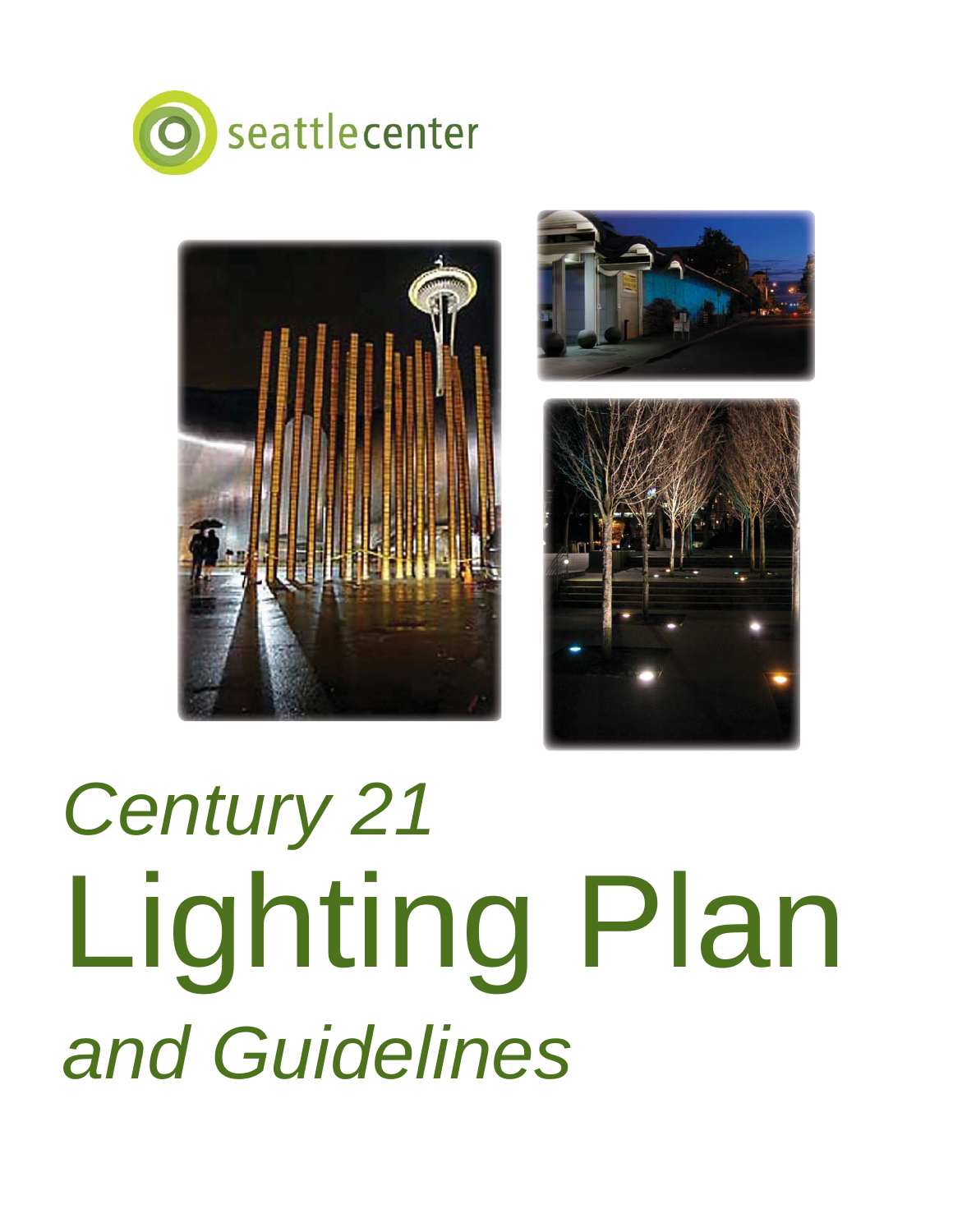







# *Century 21* Lighting Plan *and Guidelines*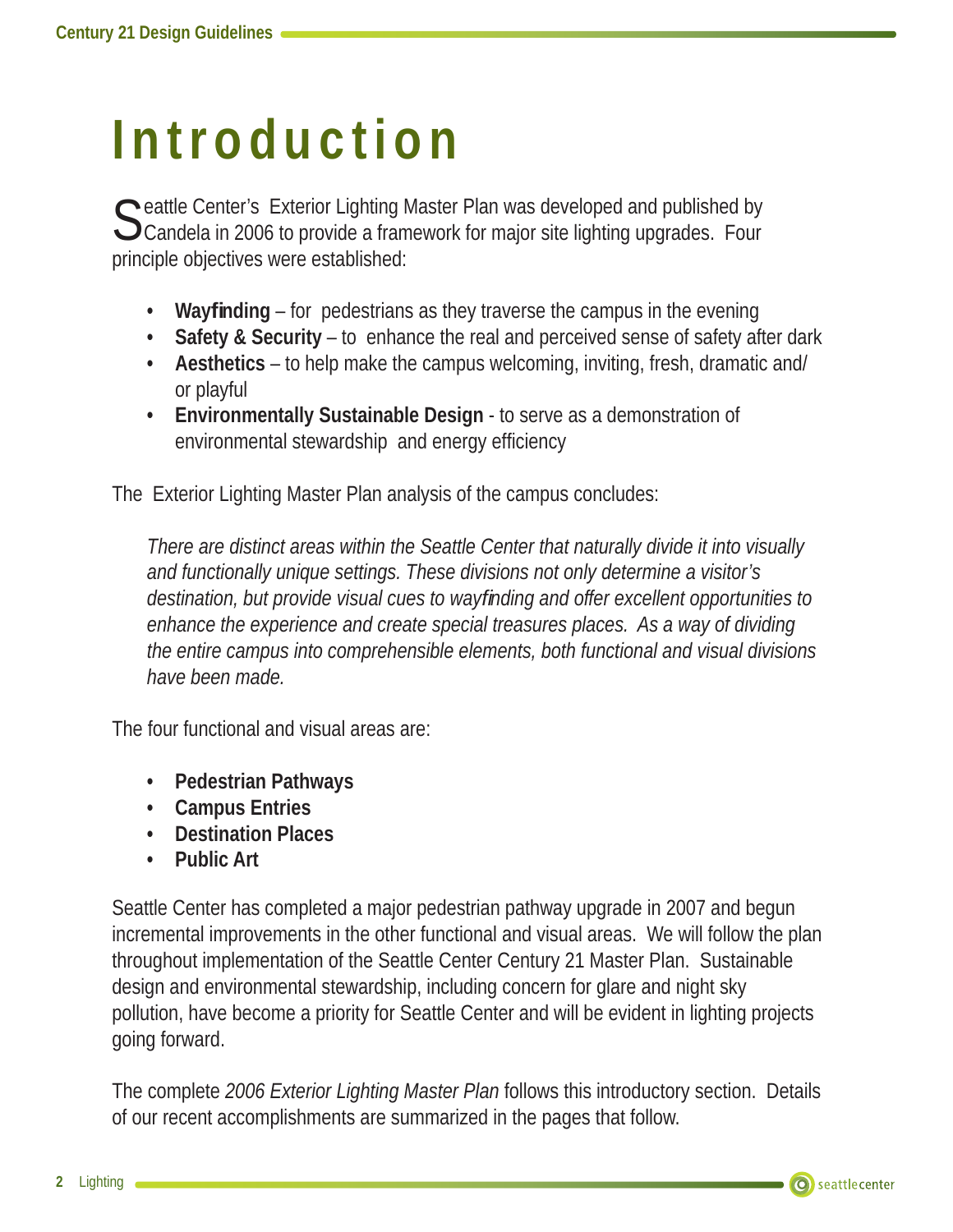## **Introduction**

C eattle Center's Exterior Lighting Master Plan was developed and published by  $\bigcup$  Candela in 2006 to provide a framework for major site lighting upgrades. Four principle objectives were established:

- Wayfinding for pedestrians as they traverse the campus in the evening
- **Safety & Security** to enhance the real and perceived sense of safety after dark
- **Aesthetics** to help make the campus welcoming, inviting, fresh, dramatic and/ or playful
- **Environmentally Sustainable Design** to serve as a demonstration of environmental stewardship and energy efficiency

The Exterior Lighting Master Plan analysis of the campus concludes:

*There are distinct areas within the Seattle Center that naturally divide it into visually and functionally unique settings. These divisions not only determine a visitor's destination, but provide visual cues to wayfi nding and offer excellent opportunities to enhance the experience and create special treasures places. As a way of dividing the entire campus into comprehensible elements, both functional and visual divisions have been made.*

The four functional and visual areas are:

- **Pedestrian Pathways**
- **Campus Entries**
- **Destination Places**
- **Public Art**

Seattle Center has completed a major pedestrian pathway upgrade in 2007 and begun incremental improvements in the other functional and visual areas. We will follow the plan throughout implementation of the Seattle Center Century 21 Master Plan. Sustainable design and environmental stewardship, including concern for glare and night sky pollution, have become a priority for Seattle Center and will be evident in lighting projects going forward.

The complete *2006 Exterior Lighting Master Plan* follows this introductory section. Details of our recent accomplishments are summarized in the pages that follow.

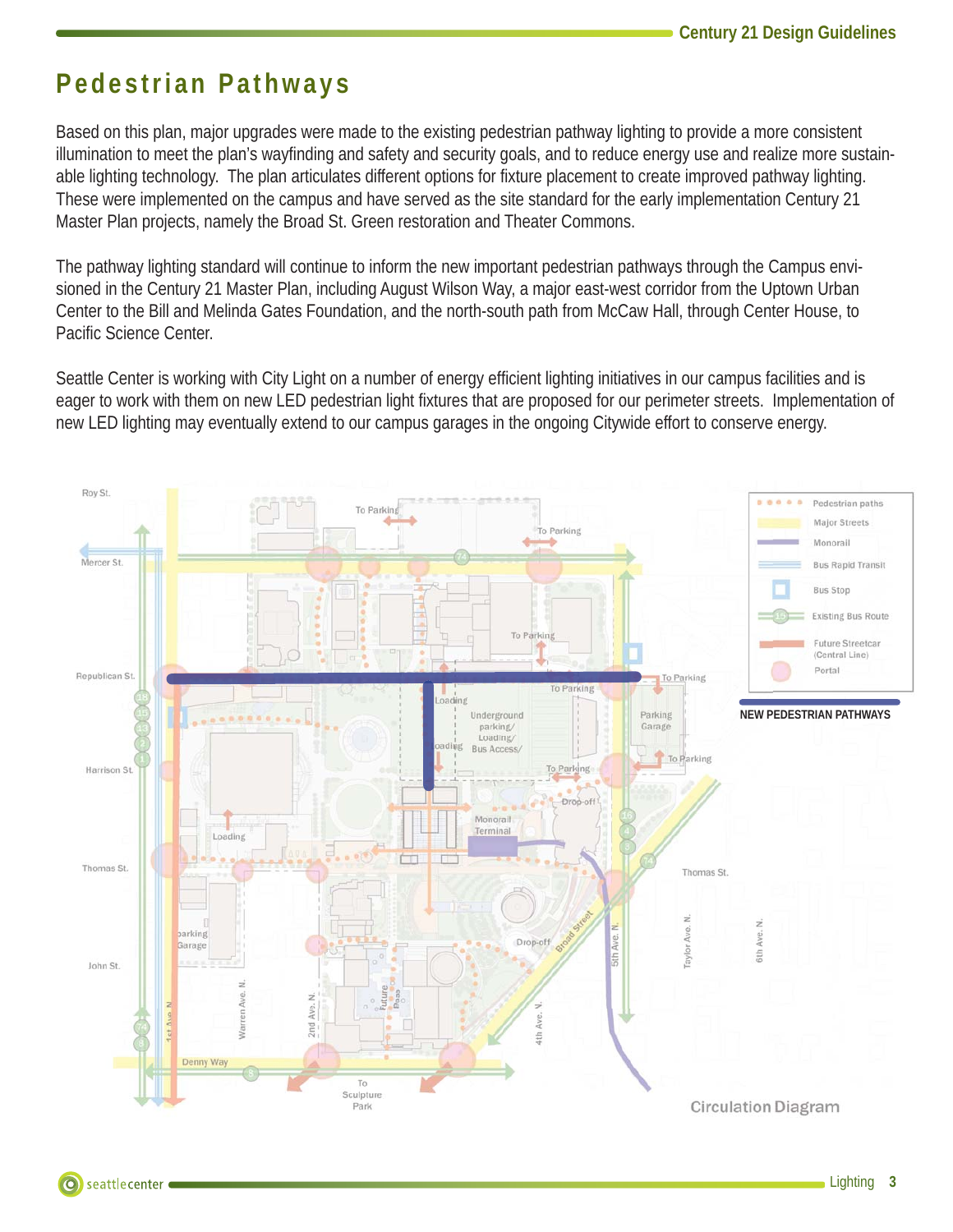#### **Pedestrian Pathways**

Based on this plan, major upgrades were made to the existing pedestrian pathway lighting to provide a more consistent illumination to meet the plan's wayfinding and safety and security goals, and to reduce energy use and realize more sustainable lighting technology. The plan articulates different options for fixture placement to create improved pathway lighting. These were implemented on the campus and have served as the site standard for the early implementation Century 21 Master Plan projects, namely the Broad St. Green restoration and Theater Commons.

The pathway lighting standard will continue to inform the new important pedestrian pathways through the Campus envisioned in the Century 21 Master Plan, including August Wilson Way, a major east-west corridor from the Uptown Urban Center to the Bill and Melinda Gates Foundation, and the north-south path from McCaw Hall, through Center House, to Pacific Science Center.

Seattle Center is working with City Light on a number of energy efficient lighting initiatives in our campus facilities and is eager to work with them on new LED pedestrian light fixtures that are proposed for our perimeter streets. Implementation of new LED lighting may eventually extend to our campus garages in the ongoing Citywide effort to conserve energy.

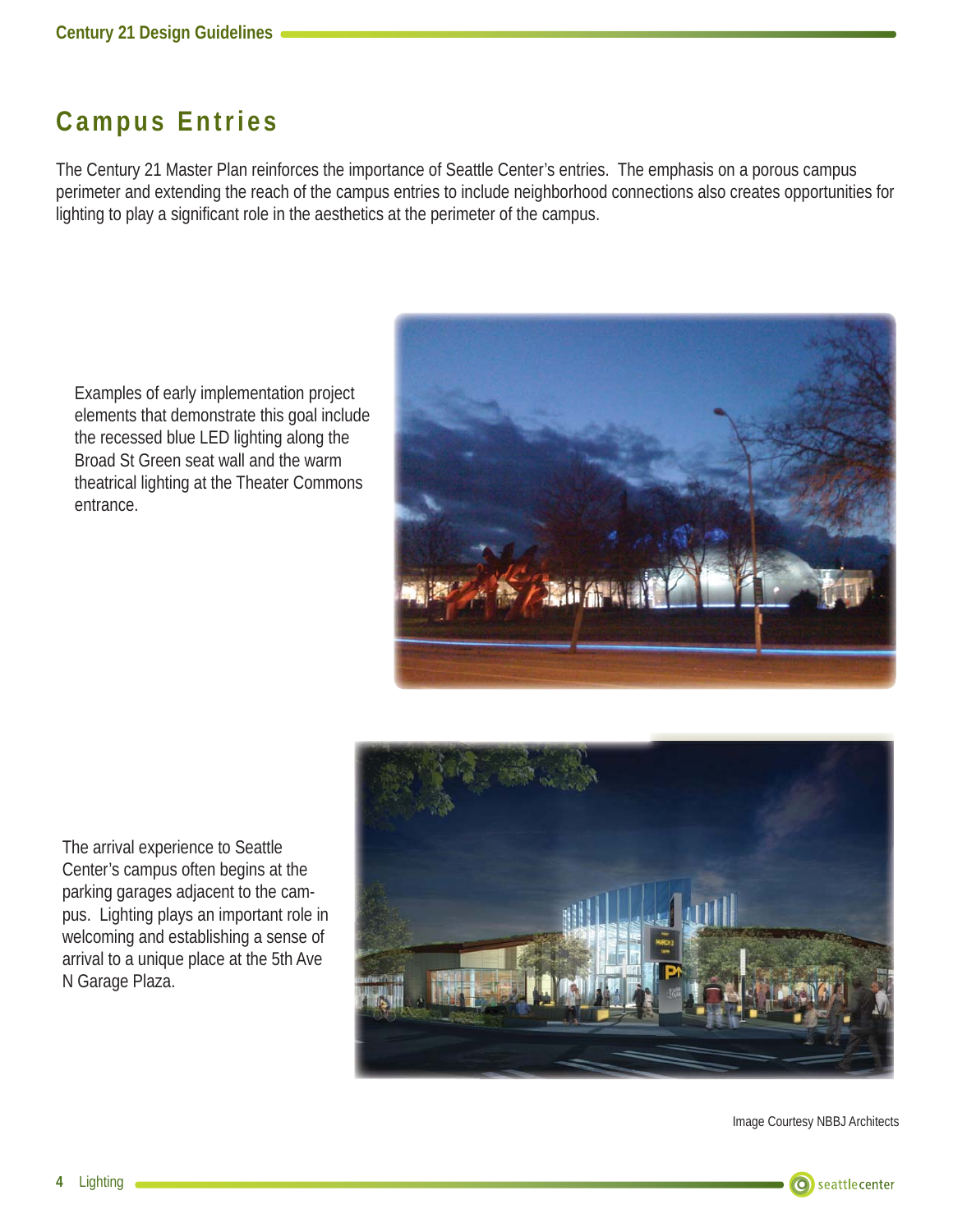### **Campus Entries**

The Century 21 Master Plan reinforces the importance of Seattle Center's entries. The emphasis on a porous campus perimeter and extending the reach of the campus entries to include neighborhood connections also creates opportunities for lighting to play a significant role in the aesthetics at the perimeter of the campus.

Examples of early implementation project elements that demonstrate this goal include the recessed blue LED lighting along the Broad St Green seat wall and the warm theatrical lighting at the Theater Commons entrance.



The arrival experience to Seattle Center's campus often begins at the parking garages adjacent to the campus. Lighting plays an important role in welcoming and establishing a sense of arrival to a unique place at the 5th Ave N Garage Plaza.



Image Courtesy NBBJ Architects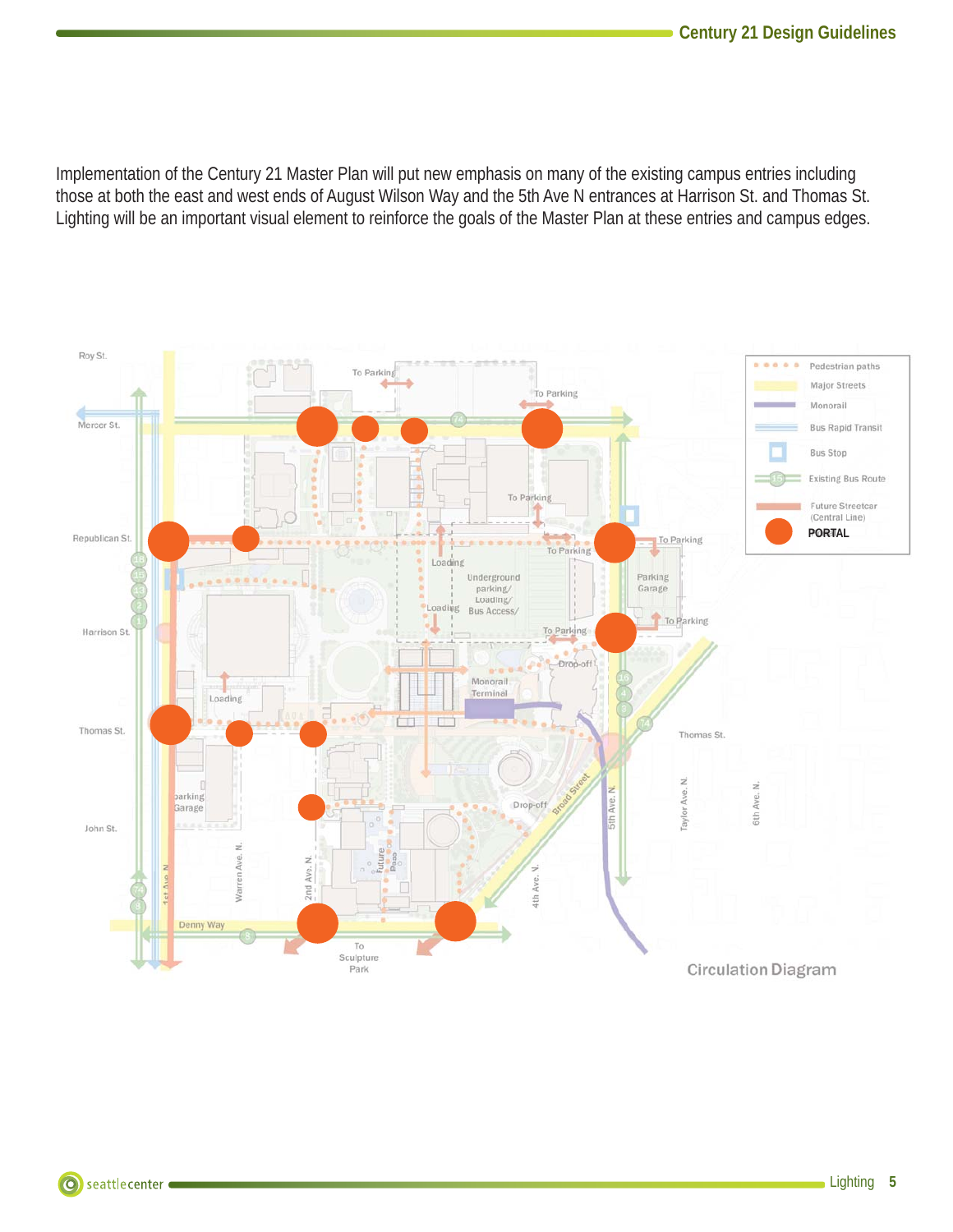Implementation of the Century 21 Master Plan will put new emphasis on many of the existing campus entries including those at both the east and west ends of August Wilson Way and the 5th Ave N entrances at Harrison St. and Thomas St. Lighting will be an important visual element to reinforce the goals of the Master Plan at these entries and campus edges.

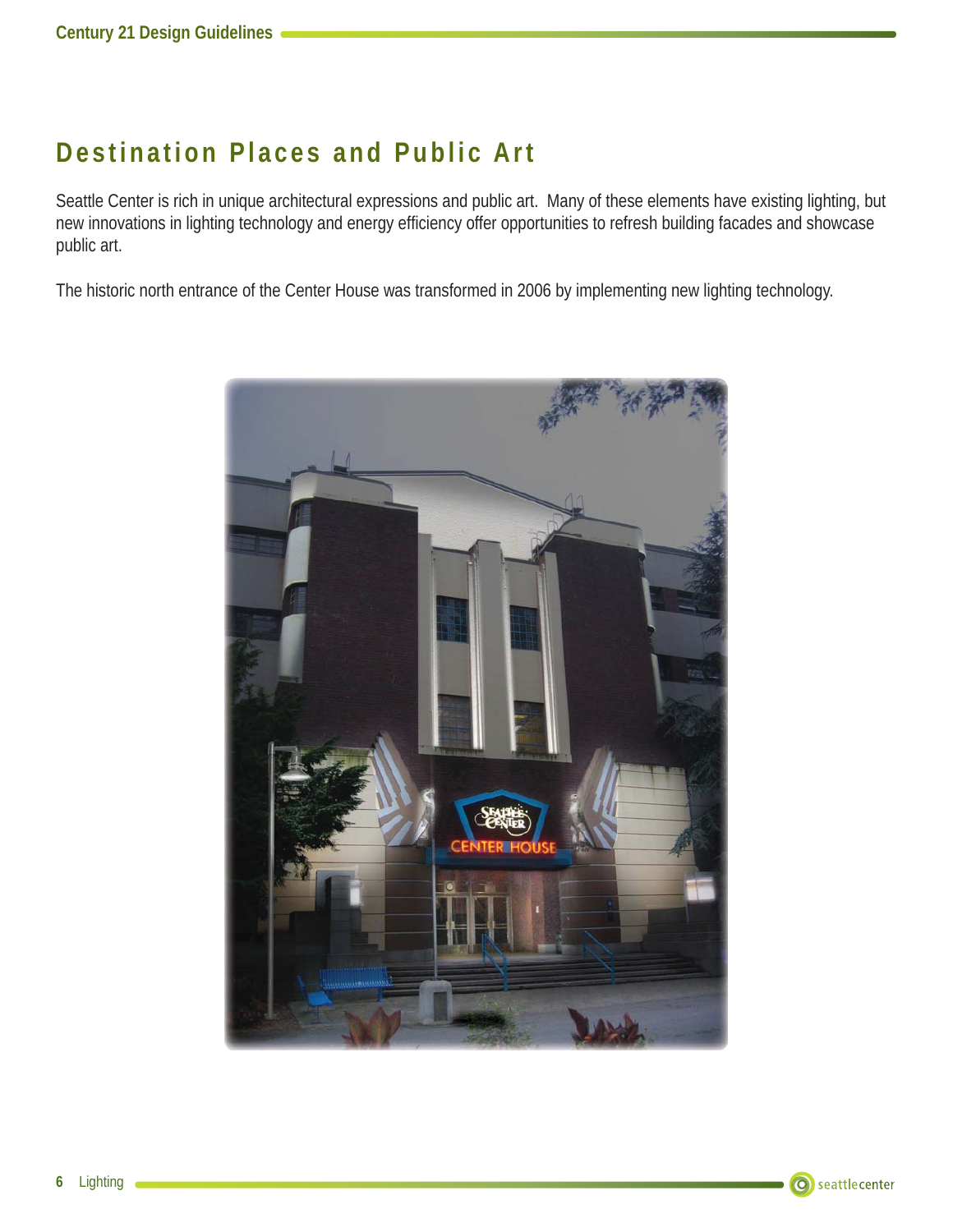#### **Destination Places and Public Art**

Seattle Center is rich in unique architectural expressions and public art. Many of these elements have existing lighting, but new innovations in lighting technology and energy efficiency offer opportunities to refresh building facades and showcase public art.

The historic north entrance of the Center House was transformed in 2006 by implementing new lighting technology.

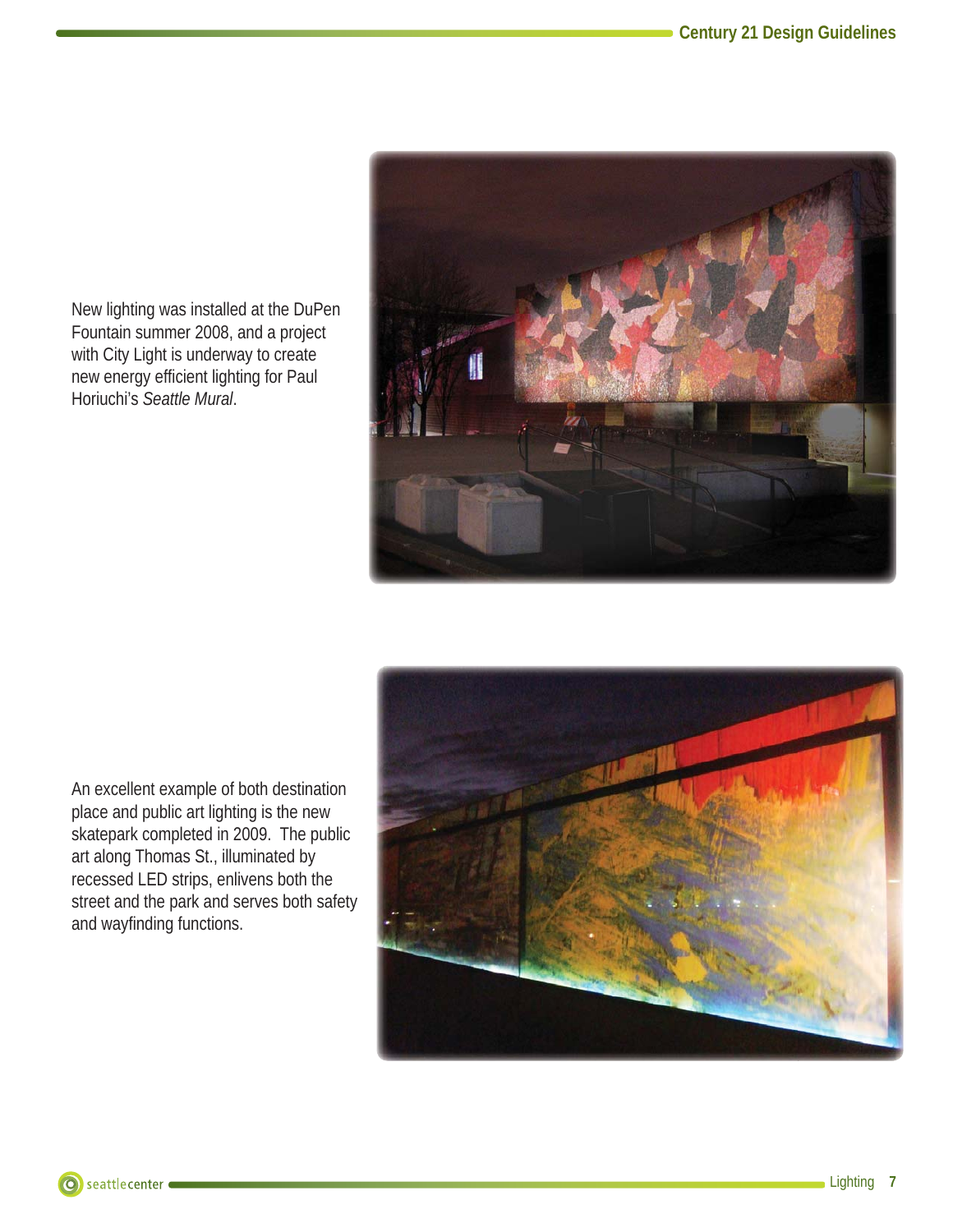New lighting was installed at the DuPen Fountain summer 2008, and a project with City Light is underway to create new energy efficient lighting for Paul Horiuchi's *Seattle Mural*.





An excellent example of both destination place and public art lighting is the new skatepark completed in 2009. The public art along Thomas St., illuminated by recessed LED strips, enlivens both the street and the park and serves both safety and wayfinding functions.